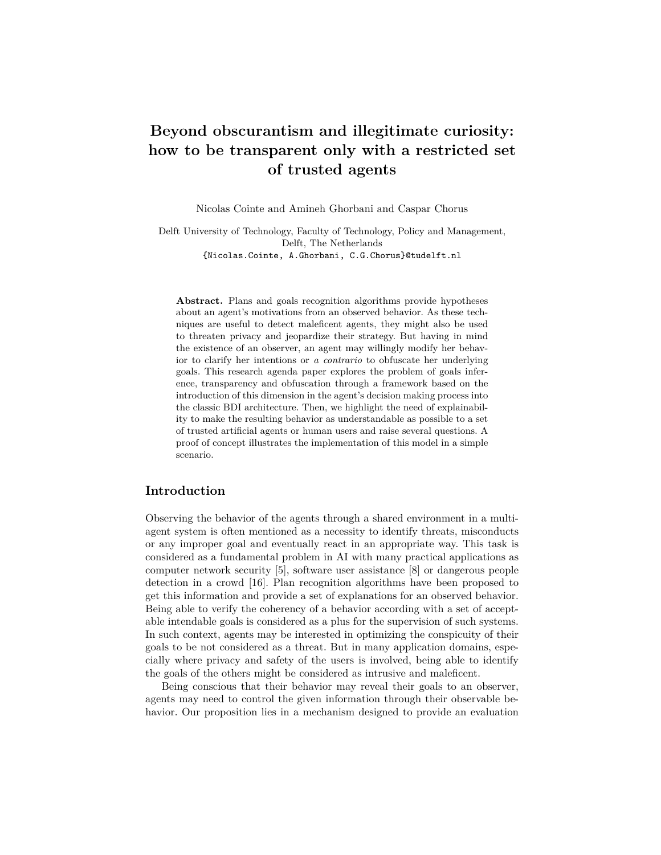# **Beyond obscurantism and illegitimate curiosity: how to be transparent only with a restricted set of trusted agents**

Nicolas Cointe and Amineh Ghorbani and Caspar Chorus

Delft University of Technology, Faculty of Technology, Policy and Management, Delft, The Netherlands {Nicolas.Cointe, A.Ghorbani, C.G.Chorus}@tudelft.nl

**Abstract.** Plans and goals recognition algorithms provide hypotheses about an agent's motivations from an observed behavior. As these techniques are useful to detect maleficent agents, they might also be used to threaten privacy and jeopardize their strategy. But having in mind the existence of an observer, an agent may willingly modify her behavior to clarify her intentions or *a contrario* to obfuscate her underlying goals. This research agenda paper explores the problem of goals inference, transparency and obfuscation through a framework based on the introduction of this dimension in the agent's decision making process into the classic BDI architecture. Then, we highlight the need of explainability to make the resulting behavior as understandable as possible to a set of trusted artificial agents or human users and raise several questions. A proof of concept illustrates the implementation of this model in a simple scenario.

### **Introduction**

Observing the behavior of the agents through a shared environment in a multiagent system is often mentioned as a necessity to identify threats, misconducts or any improper goal and eventually react in an appropriate way. This task is considered as a fundamental problem in AI with many practical applications as computer network security [\[5\]](#page-15-0), software user assistance [\[8\]](#page-15-1) or dangerous people detection in a crowd [\[16\]](#page-15-2). Plan recognition algorithms have been proposed to get this information and provide a set of explanations for an observed behavior. Being able to verify the coherency of a behavior according with a set of acceptable intendable goals is considered as a plus for the supervision of such systems. In such context, agents may be interested in optimizing the conspicuity of their goals to be not considered as a threat. But in many application domains, especially where privacy and safety of the users is involved, being able to identify the goals of the others might be considered as intrusive and maleficent.

Being conscious that their behavior may reveal their goals to an observer, agents may need to control the given information through their observable behavior. Our proposition lies in a mechanism designed to provide an evaluation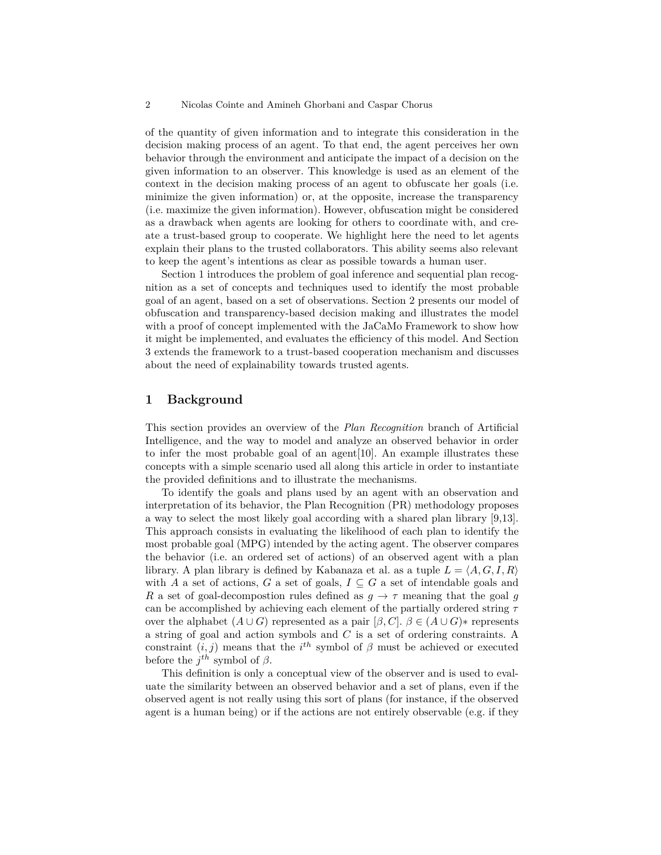of the quantity of given information and to integrate this consideration in the decision making process of an agent. To that end, the agent perceives her own behavior through the environment and anticipate the impact of a decision on the given information to an observer. This knowledge is used as an element of the context in the decision making process of an agent to obfuscate her goals (i.e. minimize the given information) or, at the opposite, increase the transparency (i.e. maximize the given information). However, obfuscation might be considered as a drawback when agents are looking for others to coordinate with, and create a trust-based group to cooperate. We highlight here the need to let agents explain their plans to the trusted collaborators. This ability seems also relevant to keep the agent's intentions as clear as possible towards a human user.

Section [1](#page-1-0) introduces the problem of goal inference and sequential plan recognition as a set of concepts and techniques used to identify the most probable goal of an agent, based on a set of observations. Section [2](#page-4-0) presents our model of obfuscation and transparency-based decision making and illustrates the model with a proof of concept implemented with the JaCaMo Framework to show how it might be implemented, and evaluates the efficiency of this model. And Section [3](#page-12-0) extends the framework to a trust-based cooperation mechanism and discusses about the need of explainability towards trusted agents.

# <span id="page-1-0"></span>**1 Background**

This section provides an overview of the *Plan Recognition* branch of Artificial Intelligence, and the way to model and analyze an observed behavior in order to infer the most probable goal of an agent[\[10\]](#page-15-3). An example illustrates these concepts with a simple scenario used all along this article in order to instantiate the provided definitions and to illustrate the mechanisms.

To identify the goals and plans used by an agent with an observation and interpretation of its behavior, the Plan Recognition (PR) methodology proposes a way to select the most likely goal according with a shared plan library [\[9,](#page-15-4)[13\]](#page-15-5). This approach consists in evaluating the likelihood of each plan to identify the most probable goal (MPG) intended by the acting agent. The observer compares the behavior (i.e. an ordered set of actions) of an observed agent with a plan library. A plan library is defined by Kabanaza et al. as a tuple  $L = \langle A, G, I, R \rangle$ with *A* a set of actions, *G* a set of goals,  $I \subseteq G$  a set of intendable goals and *R* a set of goal-decompostion rules defined as  $g \to \tau$  meaning that the goal *g* can be accomplished by achieving each element of the partially ordered string *τ* over the alphabet  $(A \cup G)$  represented as a pair  $[\beta, C]$ .  $\beta \in (A \cup G)$ <sup>\*</sup> represents a string of goal and action symbols and *C* is a set of ordering constraints. A constraint  $(i, j)$  means that the  $i^{th}$  symbol of  $\beta$  must be achieved or executed before the  $j^{th}$  symbol of  $\beta$ .

This definition is only a conceptual view of the observer and is used to evaluate the similarity between an observed behavior and a set of plans, even if the observed agent is not really using this sort of plans (for instance, if the observed agent is a human being) or if the actions are not entirely observable (e.g. if they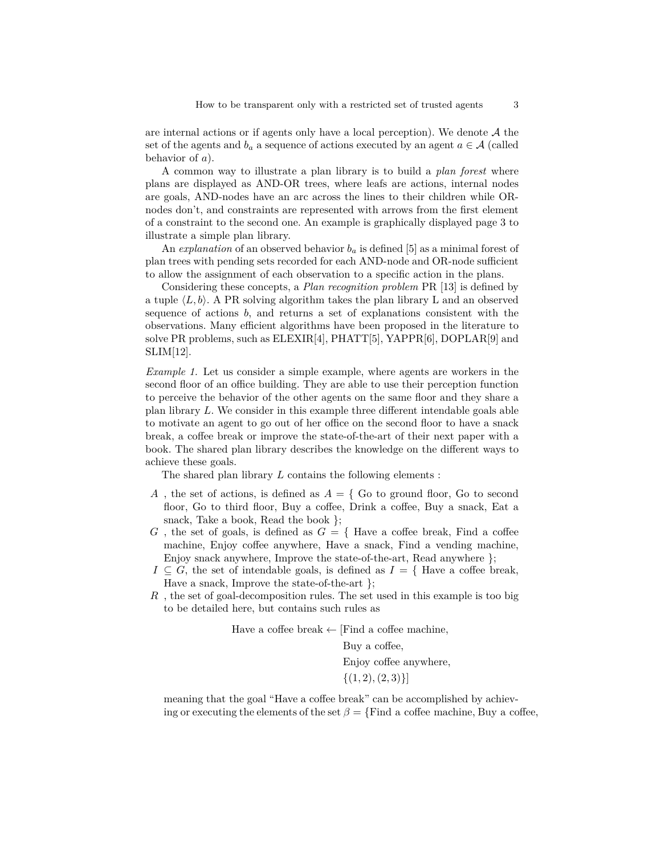are internal actions or if agents only have a local perception). We denote  $A$  the set of the agents and  $b_a$  a sequence of actions executed by an agent  $a \in \mathcal{A}$  (called behavior of *a*).

A common way to illustrate a plan library is to build a *plan forest* where plans are displayed as AND-OR trees, where leafs are actions, internal nodes are goals, AND-nodes have an arc across the lines to their children while ORnodes don't, and constraints are represented with arrows from the first element of a constraint to the second one. An example is graphically displayed page [3](#page-2-0) to illustrate a simple plan library.

An *explanation* of an observed behavior  $b_a$  is defined [\[5\]](#page-15-0) as a minimal forest of plan trees with pending sets recorded for each AND-node and OR-node sufficient to allow the assignment of each observation to a specific action in the plans.

Considering these concepts, a *Plan recognition problem* PR [\[13\]](#page-15-5) is defined by a tuple  $\langle L, b \rangle$ . A PR solving algorithm takes the plan library L and an observed sequence of actions *b*, and returns a set of explanations consistent with the observations. Many efficient algorithms have been proposed in the literature to solve PR problems, such as ELEXIR[\[4\]](#page-15-6), PHATT[\[5\]](#page-15-0), YAPPR[\[6\]](#page-15-7), DOPLAR[\[9\]](#page-15-4) and SLIM[\[12\]](#page-15-8).

<span id="page-2-0"></span>*Example 1.* Let us consider a simple example, where agents are workers in the second floor of an office building. They are able to use their perception function to perceive the behavior of the other agents on the same floor and they share a plan library *L*. We consider in this example three different intendable goals able to motivate an agent to go out of her office on the second floor to have a snack break, a coffee break or improve the state-of-the-art of their next paper with a book. The shared plan library describes the knowledge on the different ways to achieve these goals.

The shared plan library *L* contains the following elements :

- *A*, the set of actions, is defined as  $A = \{$  Go to ground floor, Go to second floor, Go to third floor, Buy a coffee, Drink a coffee, Buy a snack, Eat a snack, Take a book, Read the book };
- *G*, the set of goals, is defined as  $G = \{$  Have a coffee break, Find a coffee machine, Enjoy coffee anywhere, Have a snack, Find a vending machine, Enjoy snack anywhere, Improve the state-of-the-art, Read anywhere };
- $I \subseteq G$ , the set of intendable goals, is defined as  $I = \{$  Have a coffee break, Have a snack, Improve the state-of-the-art };
- *R* , the set of goal-decomposition rules. The set used in this example is too big to be detailed here, but contains such rules as

Have a coffee break ← [Find a coffee machine*,*

Buy a coffee*,* Enjoy coffee anywhere*,*  $\{(1, 2), (2, 3)\}\$ 

meaning that the goal "Have a coffee break" can be accomplished by achieving or executing the elements of the set  $\beta = \{\text{Find a coffee machine}, \text{Buy a coffee}\}$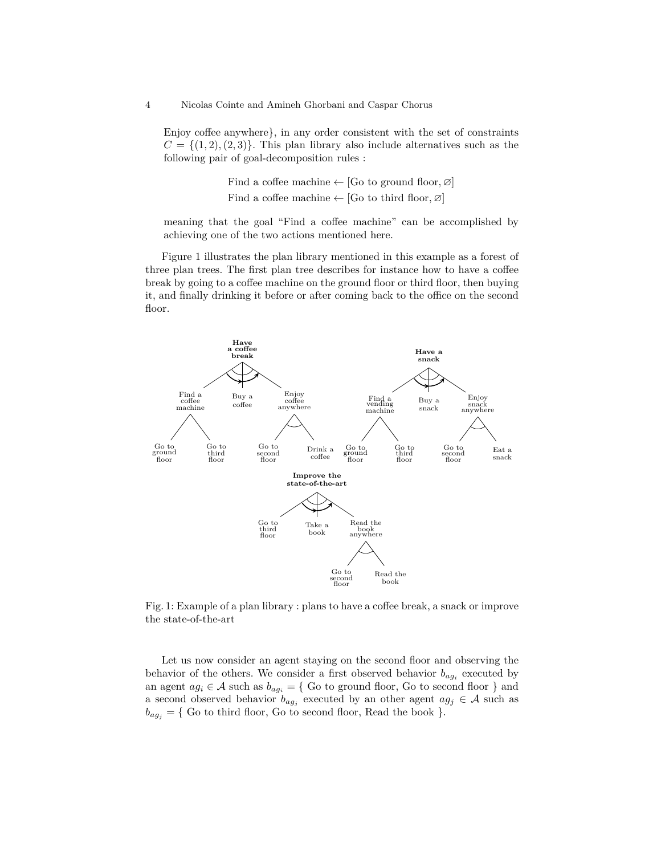Enjoy coffee anywhere}, in any order consistent with the set of constraints  $C = \{(1, 2), (2, 3)\}.$  This plan library also include alternatives such as the following pair of goal-decomposition rules :

> Find a coffee machine  $\leftarrow$  [Go to ground floor,  $\varnothing$ ] Find a coffee machine  $\leftarrow$  [Go to third floor,  $\varnothing$ ]

meaning that the goal "Find a coffee machine" can be accomplished by achieving one of the two actions mentioned here.

Figure [1](#page-3-0) illustrates the plan library mentioned in this example as a forest of three plan trees. The first plan tree describes for instance how to have a coffee break by going to a coffee machine on the ground floor or third floor, then buying it, and finally drinking it before or after coming back to the office on the second floor.

<span id="page-3-0"></span>

Fig. 1: Example of a plan library : plans to have a coffee break, a snack or improve the state-of-the-art

Let us now consider an agent staying on the second floor and observing the behavior of the others. We consider a first observed behavior  $b_{ag_i}$  executed by an agent  $ag_i \in \mathcal{A}$  such as  $b_{ag_i} = \{$  Go to ground floor, Go to second floor  $\}$  and a second observed behavior  $b_{ag_j}$  executed by an other agent  $ag_j \in \mathcal{A}$  such as  $b_{ag}$  = { Go to third floor, Go to second floor, Read the book }.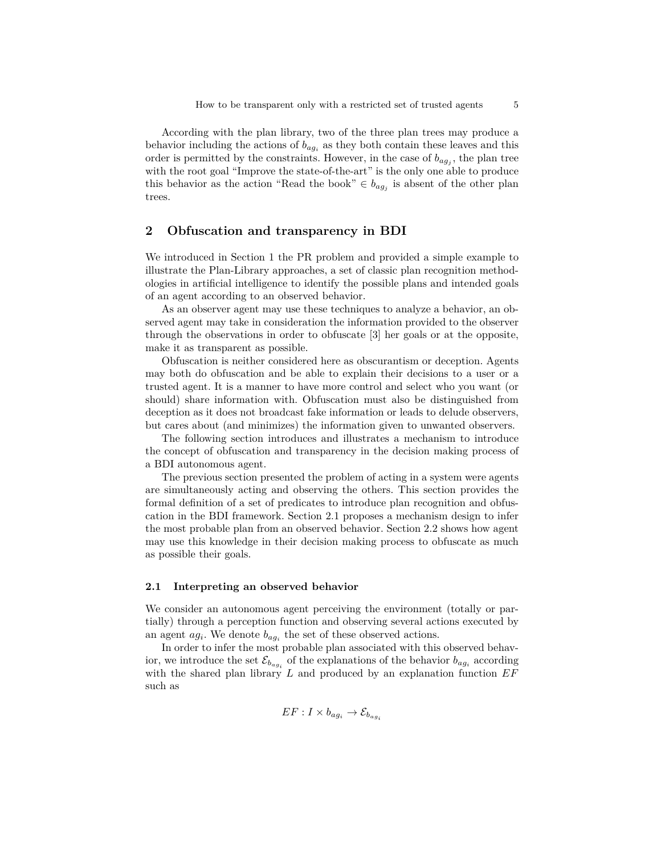According with the plan library, two of the three plan trees may produce a behavior including the actions of  $b_{ag_i}$  as they both contain these leaves and this order is permitted by the constraints. However, in the case of  $b_{agj}$ , the plan tree with the root goal "Improve the state-of-the-art" is the only one able to produce this behavior as the action "Read the book"  $\in b_{ag_j}$  is absent of the other plan trees.

# <span id="page-4-0"></span>**2 Obfuscation and transparency in BDI**

We introduced in Section [1](#page-1-0) the PR problem and provided a simple example to illustrate the Plan-Library approaches, a set of classic plan recognition methodologies in artificial intelligence to identify the possible plans and intended goals of an agent according to an observed behavior.

As an observer agent may use these techniques to analyze a behavior, an observed agent may take in consideration the information provided to the observer through the observations in order to obfuscate [\[3\]](#page-15-9) her goals or at the opposite, make it as transparent as possible.

Obfuscation is neither considered here as obscurantism or deception. Agents may both do obfuscation and be able to explain their decisions to a user or a trusted agent. It is a manner to have more control and select who you want (or should) share information with. Obfuscation must also be distinguished from deception as it does not broadcast fake information or leads to delude observers, but cares about (and minimizes) the information given to unwanted observers.

The following section introduces and illustrates a mechanism to introduce the concept of obfuscation and transparency in the decision making process of a BDI autonomous agent.

The previous section presented the problem of acting in a system were agents are simultaneously acting and observing the others. This section provides the formal definition of a set of predicates to introduce plan recognition and obfuscation in the BDI framework. Section [2.1](#page-4-1) proposes a mechanism design to infer the most probable plan from an observed behavior. Section [2.2](#page-5-0) shows how agent may use this knowledge in their decision making process to obfuscate as much as possible their goals.

### <span id="page-4-1"></span>**2.1 Interpreting an observed behavior**

We consider an autonomous agent perceiving the environment (totally or partially) through a perception function and observing several actions executed by an agent  $ag_i$ . We denote  $b_{ag_i}$  the set of these observed actions.

In order to infer the most probable plan associated with this observed behavior, we introduce the set  $\mathcal{E}_{b_{ag_i}}$  of the explanations of the behavior  $b_{ag_i}$  according with the shared plan library *L* and produced by an explanation function *EF* such as

$$
EF: I \times b_{ag_i} \rightarrow \mathcal{E}_{b_{ag_i}}
$$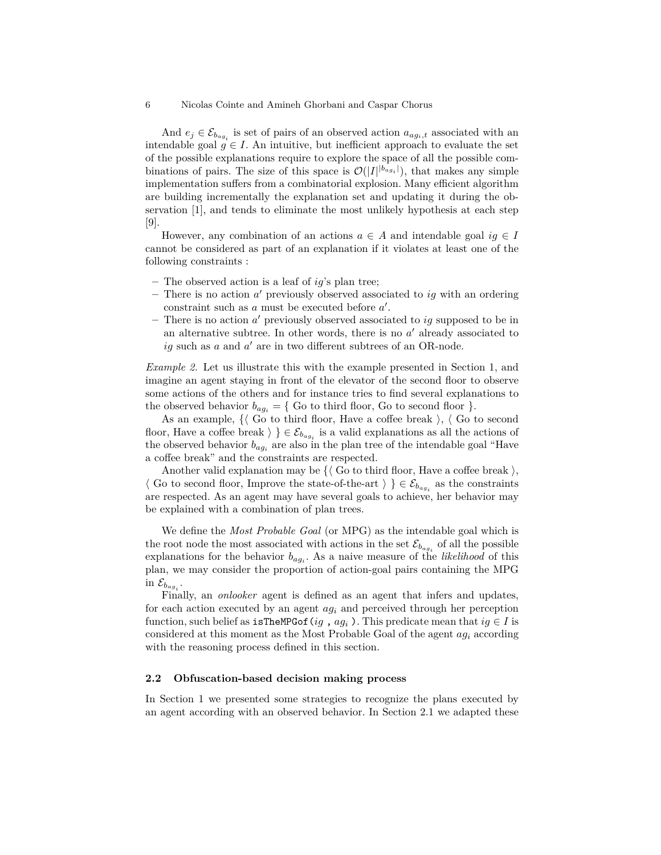And  $e_j \in \mathcal{E}_{b_{agg_i}}$  is set of pairs of an observed action  $a_{agg_i,t}$  associated with an intendable goal  $g \in I$ . An intuitive, but inefficient approach to evaluate the set of the possible explanations require to explore the space of all the possible combinations of pairs. The size of this space is  $\mathcal{O}(|I|^{b_{agi}})$ , that makes any simple implementation suffers from a combinatorial explosion. Many efficient algorithm are building incrementally the explanation set and updating it during the observation [\[1\]](#page-15-10), and tends to eliminate the most unlikely hypothesis at each step [\[9\]](#page-15-4).

However, any combination of an actions  $a \in A$  and intendable goal  $iq \in I$ cannot be considered as part of an explanation if it violates at least one of the following constraints :

- **–** The observed action is a leaf of *ig*'s plan tree;
- **–** There is no action *a* <sup>0</sup> previously observed associated to *ig* with an ordering constraint such as  $a$  must be executed before  $a'$ .
- **–** There is no action *a* <sup>0</sup> previously observed associated to *ig* supposed to be in an alternative subtree. In other words, there is no  $a'$  already associated to  $ig$  such as  $a$  and  $a'$  are in two different subtrees of an OR-node.

*Example 2.* Let us illustrate this with the example presented in Section [1,](#page-2-0) and imagine an agent staying in front of the elevator of the second floor to observe some actions of the others and for instance tries to find several explanations to the observed behavior  $b_{ag_i} = \{$  Go to third floor, Go to second floor  $\}$ .

As an example,  $\{\langle \text{Go to third floor, Have a coffee break } \rangle, \langle \text{Go to second }\rangle\}$ floor, Have a coffee break  $\rangle \} \in \mathcal{E}_{b_{ag_i}}$  is a valid explanations as all the actions of the observed behavior  $b_{ag_i}$  are also in the plan tree of the intendable goal "Have" a coffee break" and the constraints are respected.

Another valid explanation may be  $\{\langle \text{Go to third floor, Have a coffee break } \rangle,$  $\langle$  Go to second floor, Improve the state-of-the-art  $\rangle \} \in \mathcal{E}_{b_{agi}}$  as the constraints are respected. As an agent may have several goals to achieve, her behavior may be explained with a combination of plan trees.

We define the *Most Probable Goal* (or MPG) as the intendable goal which is the root node the most associated with actions in the set  $\mathcal{E}_{b_{agg}}$  of all the possible explanations for the behavior  $b_{ag_i}$ . As a naive measure of the *likelihood* of this plan, we may consider the proportion of action-goal pairs containing the MPG in  $\mathcal{E}_{b_{agg}}$ .

Finally, an *onlooker* agent is defined as an agent that infers and updates, for each action executed by an agent *ag<sup>i</sup>* and perceived through her perception function, such belief as  $\text{isTheMPGof}(ig, ag_i)$ . This predicate mean that  $ig \in I$  is considered at this moment as the Most Probable Goal of the agent *ag<sup>i</sup>* according with the reasoning process defined in this section.

### <span id="page-5-0"></span>**2.2 Obfuscation-based decision making process**

In Section [1](#page-1-0) we presented some strategies to recognize the plans executed by an agent according with an observed behavior. In Section [2.1](#page-4-1) we adapted these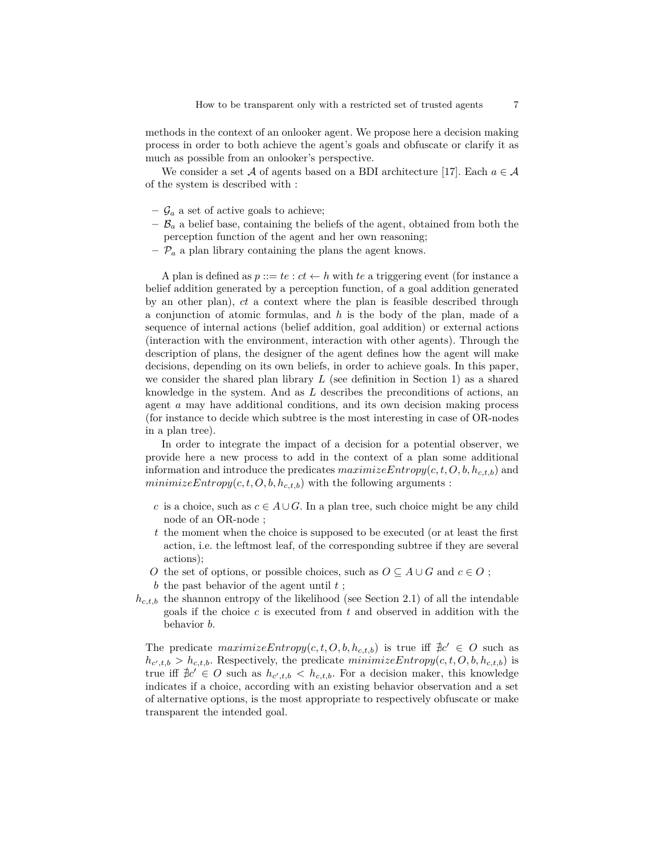methods in the context of an onlooker agent. We propose here a decision making process in order to both achieve the agent's goals and obfuscate or clarify it as much as possible from an onlooker's perspective.

We consider a set A of agents based on a BDI architecture [\[17\]](#page-15-11). Each  $a \in \mathcal{A}$ of the system is described with :

- $-\mathcal{G}_a$  a set of active goals to achieve;
- $-\mathcal{B}_a$  a belief base, containing the beliefs of the agent, obtained from both the perception function of the agent and her own reasoning;
- $-\mathcal{P}_a$  a plan library containing the plans the agent knows.

A plan is defined as  $p ::= te : ct \leftarrow h$  with *te* a triggering event (for instance a belief addition generated by a perception function, of a goal addition generated by an other plan), *ct* a context where the plan is feasible described through a conjunction of atomic formulas, and *h* is the body of the plan, made of a sequence of internal actions (belief addition, goal addition) or external actions (interaction with the environment, interaction with other agents). Through the description of plans, the designer of the agent defines how the agent will make decisions, depending on its own beliefs, in order to achieve goals. In this paper, we consider the shared plan library *L* (see definition in Section [1\)](#page-2-0) as a shared knowledge in the system. And as *L* describes the preconditions of actions, an agent *a* may have additional conditions, and its own decision making process (for instance to decide which subtree is the most interesting in case of OR-nodes in a plan tree).

In order to integrate the impact of a decision for a potential observer, we provide here a new process to add in the context of a plan some additional information and introduce the predicates *maximizeEntropy*(*c, t, O, b, hc,t,b*) and  $minimizeEntropy(c, t, O, b, h_{c,t,b})$  with the following arguments :

- *c* is a choice, such as  $c \in A \cup G$ . In a plan tree, such choice might be any child node of an OR-node ;
- *t* the moment when the choice is supposed to be executed (or at least the first action, i.e. the leftmost leaf, of the corresponding subtree if they are several actions);
- *O* the set of options, or possible choices, such as  $O \subseteq A \cup G$  and  $c \in O$ ;
- *b* the past behavior of the agent until *t* ;
- $h_{c,t,b}$  the shannon entropy of the likelihood (see Section [2.1\)](#page-4-1) of all the intendable goals if the choice *c* is executed from *t* and observed in addition with the behavior *b*.

The predicate  $\text{maximize} \text{Entropy}(c, t, O, b, h_{c,t,b})$  is true iff  $\exists c' \in O$  such as  $h_{c',t,b} > h_{c,t,b}$ . Respectively, the predicate  $minimizeEntropy(c, t, O, b, h_{c,t,b})$  is true iff  $\#c' \in O$  such as  $h_{c',t,b} < h_{c,t,b}$ . For a decision maker, this knowledge indicates if a choice, according with an existing behavior observation and a set of alternative options, is the most appropriate to respectively obfuscate or make transparent the intended goal.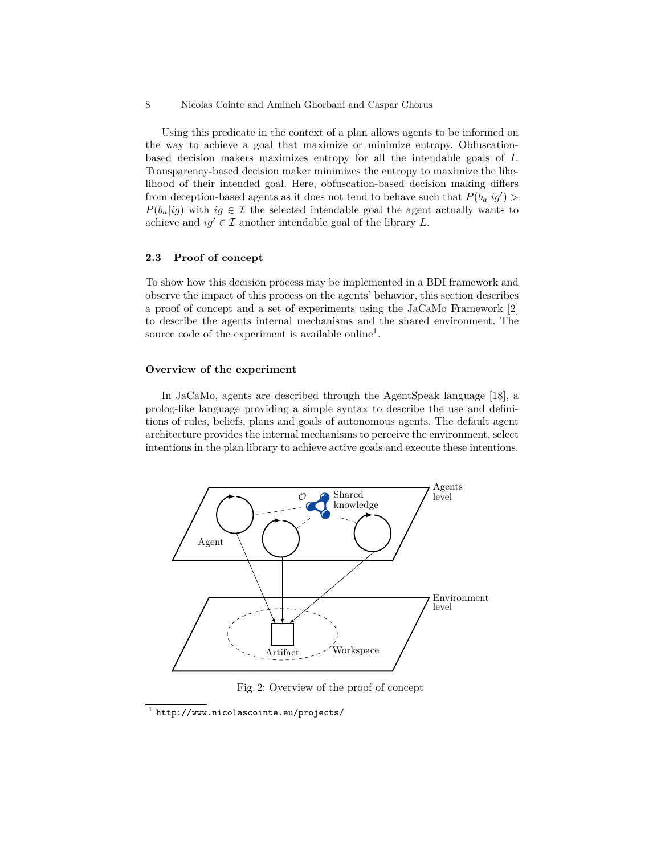Using this predicate in the context of a plan allows agents to be informed on the way to achieve a goal that maximize or minimize entropy. Obfuscationbased decision makers maximizes entropy for all the intendable goals of *I*. Transparency-based decision maker minimizes the entropy to maximize the likelihood of their intended goal. Here, obfuscation-based decision making differs from deception-based agents as it does not tend to behave such that  $P(b_a|ig')$  $P(b_a|iq)$  with  $iq \in \mathcal{I}$  the selected intendable goal the agent actually wants to achieve and  $iq' \in \mathcal{I}$  another intendable goal of the library *L*.

### **2.3 Proof of concept**

To show how this decision process may be implemented in a BDI framework and observe the impact of this process on the agents' behavior, this section describes a proof of concept and a set of experiments using the JaCaMo Framework [\[2\]](#page-15-12) to describe the agents internal mechanisms and the shared environment. The source code of the experiment is available online<sup>[1](#page-7-0)</sup>.

### **Overview of the experiment**

In JaCaMo, agents are described through the AgentSpeak language [\[18\]](#page-15-13), a prolog-like language providing a simple syntax to describe the use and definitions of rules, beliefs, plans and goals of autonomous agents. The default agent architecture provides the internal mechanisms to perceive the environment, select intentions in the plan library to achieve active goals and execute these intentions.

<span id="page-7-1"></span>

Fig. 2: Overview of the proof of concept

<span id="page-7-0"></span><sup>1</sup> <http://www.nicolascointe.eu/projects/>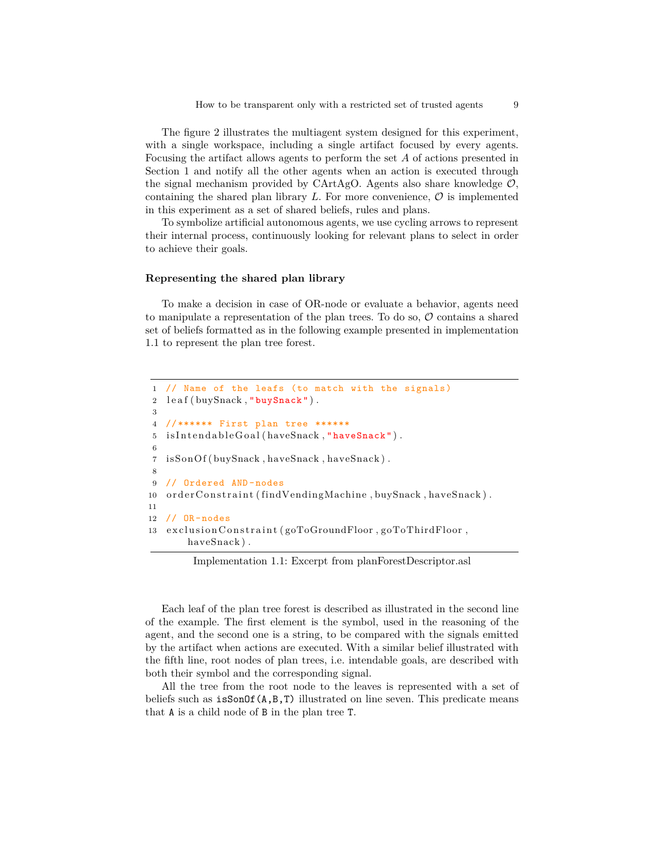The figure [2](#page-7-1) illustrates the multiagent system designed for this experiment, with a single workspace, including a single artifact focused by every agents. Focusing the artifact allows agents to perform the set *A* of actions presented in Section [1](#page-2-0) and notify all the other agents when an action is executed through the signal mechanism provided by CArtAgO. Agents also share knowledge  $\mathcal{O}$ , containing the shared plan library  $L$ . For more convenience,  $\mathcal O$  is implemented in this experiment as a set of shared beliefs, rules and plans.

To symbolize artificial autonomous agents, we use cycling arrows to represent their internal process, continuously looking for relevant plans to select in order to achieve their goals.

### **Representing the shared plan library**

To make a decision in case of OR-node or evaluate a behavior, agents need to manipulate a representation of the plan trees. To do so,  $\mathcal O$  contains a shared set of beliefs formatted as in the following example presented in implementation [1.1](#page-8-0) to represent the plan tree forest.

```
1 // Name of the leafs (to match with the signals)
2 leaf (buySnack, "buySnack").
3
4 // ****** First plan tree ******
5 is Intendable Goal (have Snack, "have Snack").
6
7 isSonOf(buySnack, haveSnack, haveSnack).
8
9 // Ordered AND -nodes
10 order Constraint (find Vending Machine, buy Snack, have Snack).
11
12 // OR -nodes
13 exclusion Constraint (goToGroundFloor, goToThirdFloor,
       haveSnack ) .
```
Implementation 1.1: Excerpt from planForestDescriptor.asl

Each leaf of the plan tree forest is described as illustrated in the second line of the example. The first element is the symbol, used in the reasoning of the agent, and the second one is a string, to be compared with the signals emitted by the artifact when actions are executed. With a similar belief illustrated with the fifth line, root nodes of plan trees, i.e. intendable goals, are described with both their symbol and the corresponding signal.

All the tree from the root node to the leaves is represented with a set of beliefs such as  $isSonOf(A,B,T)$  illustrated on line seven. This predicate means that A is a child node of B in the plan tree T.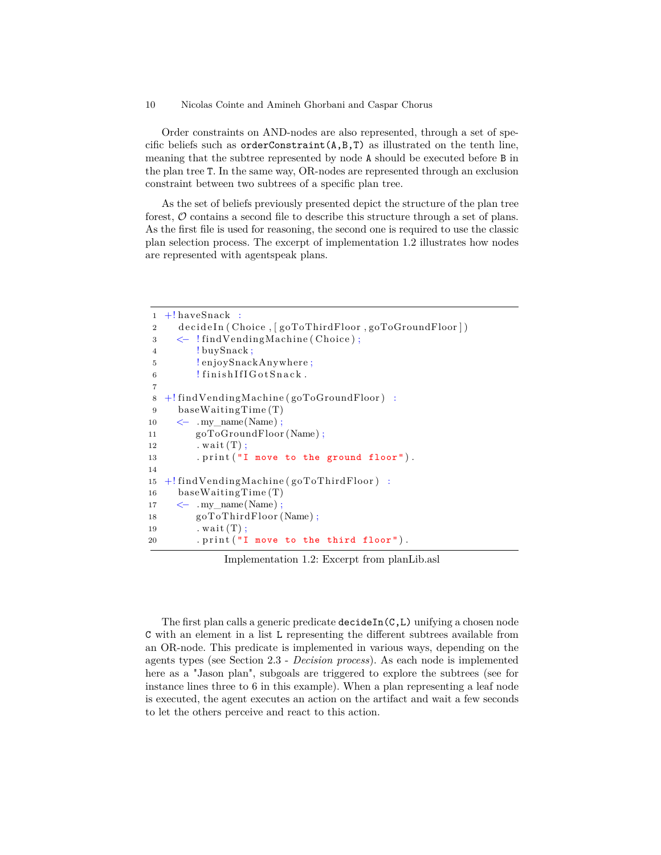Order constraints on AND-nodes are also represented, through a set of specific beliefs such as orderConstraint(A,B,T) as illustrated on the tenth line, meaning that the subtree represented by node A should be executed before B in the plan tree T. In the same way, OR-nodes are represented through an exclusion constraint between two subtrees of a specific plan tree.

As the set of beliefs previously presented depict the structure of the plan tree forest,  $\mathcal O$  contains a second file to describe this structure through a set of plans. As the first file is used for reasoning, the second one is required to use the classic plan selection process. The excerpt of implementation [1.2](#page-9-0) illustrates how nodes are represented with agentspeak plans.

```
1 +! haveSnack :
2 decideIn (Choice, [goToThirdFloor, goToGroundFloor])
3 <− ! findVendingMachine ( Choice ) ;
4 ! buySnack;
5 ! en joySnackAnywhere ;
6 ! finish If I G ot Snack.
7
8 +! findVendingMachine ( goToGroundFloor ) :
9 baseWaitingTime (T)
10 \leq \text{my name}(Name);
11 goToGroundFloor (Name);
12 . wait (T);
13 . print ("I move to the ground floor").
14
15 +! findVendingMachine ( goToThirdFloor ) :
16 baseWaitingTime (T)
17 \leq \qquad \text{Any\_name}(Name);
18 goToThirdFloor (Name);
19 . wait (T);
20 . print ("I move to the third floor").
```
Implementation 1.2: Excerpt from planLib.asl

The first plan calls a generic predicate  $\text{decideIn}(C,L)$  unifying a chosen node C with an element in a list L representing the different subtrees available from an OR-node. This predicate is implemented in various ways, depending on the agents types (see Section [2.3](#page-11-0) - *Decision process*). As each node is implemented here as a "Jason plan", subgoals are triggered to explore the subtrees (see for instance lines three to 6 in this example). When a plan representing a leaf node is executed, the agent executes an action on the artifact and wait a few seconds to let the others perceive and react to this action.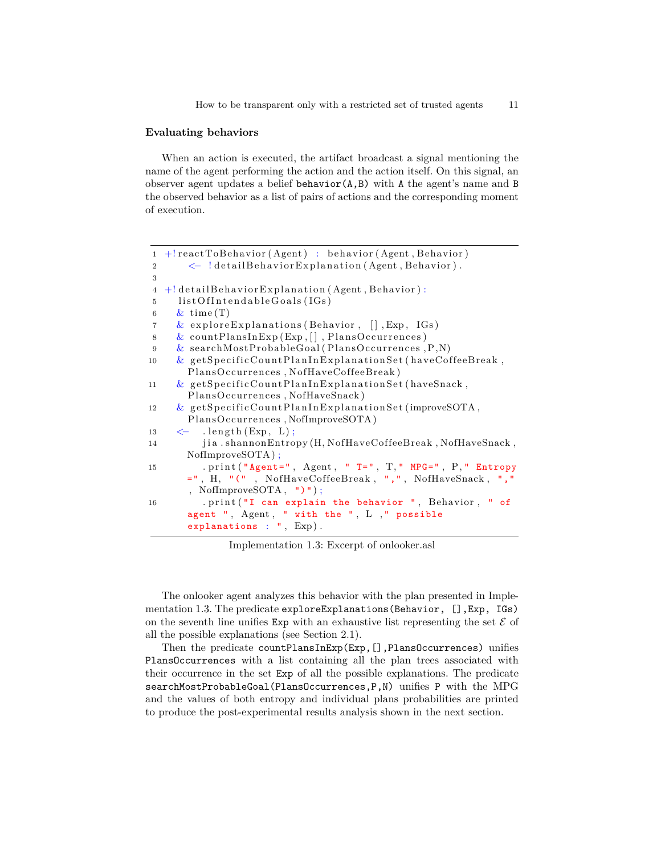#### **Evaluating behaviors**

When an action is executed, the artifact broadcast a signal mentioning the name of the agent performing the action and the action itself. On this signal, an observer agent updates a belief behavior(A,B) with A the agent's name and B the observed behavior as a list of pairs of actions and the corresponding moment of execution.

```
1 +! reactToBehavior (Agent) : behavior (Agent, Behavior)
2 <\leftarrow ! detail Behavior Explanation (Agent, Behavior).
3
4 + detail Behavior Explanation (Agent, Behavior) :
5 list Of Intendable Goals (IGs)
6 \& time (T)7 & explore Explanations (Behavior, \lceil \cdot \rceil, Exp. IGs)
8 & countPlansInExp (Exp, [], PlansOccurrences)
9 & searchMostProbableGoal (PlansOccurrences, P,N)
10 & getSpecificCountPlanInExplanationSet (haveCoffeeBreak,
       PlansOccurrences, NofHaveCoffeeBreak)
11 & getSpecificCountPlanInExplanationSet (haveSnack,
       PlansOccurrences, NofHaveSnack)
12 & getSpecificCountPlanInExplanationSet(improveSOTA,
       PlansOccurrences, NofImproveSOTA)
13 \leftarrow . length (Exp, L);
14 jia . shannonEntropy (H, NofHaveCoffeeBreak, NofHaveSnack,
      NofImproveSOTA ) ;
15 . print ("Agent=", Agent, " T=", T," MPG=", P," Entropy
       =", H, "(", NofHaveCoffeeBreak, ",", NofHaveSnack, ","
       , NofImproveSOTA , ")" ) ;
16 . print ("I can explain the behavior ", Behavior, " of
       agent ", Agent, " with the ", L, " possible
       explanations : ", Exp).
```
Implementation 1.3: Excerpt of onlooker.asl

The onlooker agent analyzes this behavior with the plan presented in Imple-mentation [1.3.](#page-10-0) The predicate exploreExplanations (Behavior, [], Exp, IGs) on the seventh line unifies  $Exp$  with an exhaustive list representing the set  $\mathcal E$  of all the possible explanations (see Section [2.1\)](#page-4-1).

Then the predicate countPlansInExp(Exp, [], PlansOccurrences) unifies PlansOccurrences with a list containing all the plan trees associated with their occurrence in the set Exp of all the possible explanations. The predicate searchMostProbableGoal(PlansOccurrences,P,N) unifies P with the MPG and the values of both entropy and individual plans probabilities are printed to produce the post-experimental results analysis shown in the next section.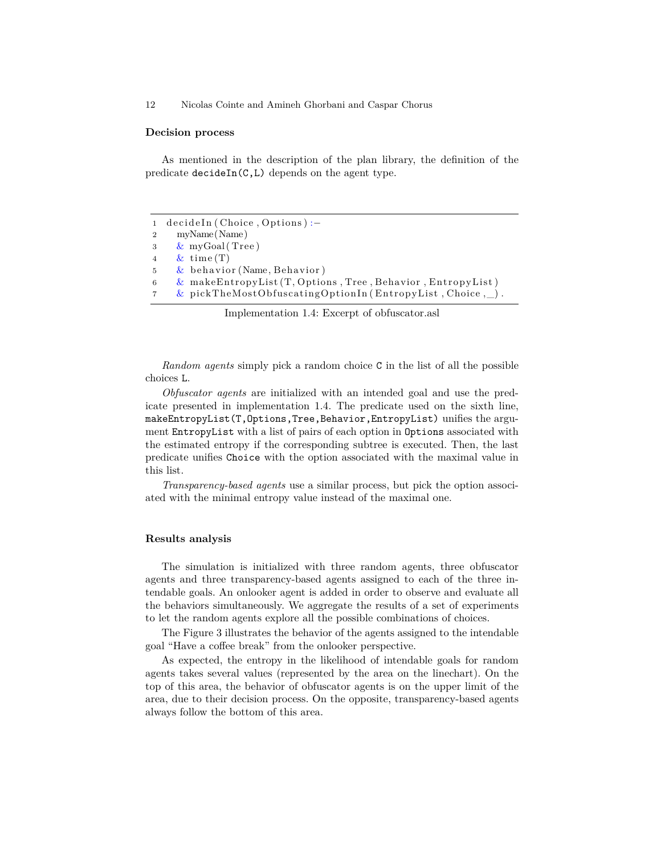#### <span id="page-11-0"></span>**Decision process**

As mentioned in the description of the plan library, the definition of the predicate decideIn(C,L) depends on the agent type.

```
1 decideIn (Choice, Options) :−
2 myName(Name)
3 & myGoal ( Tree )
4 & time (T)\frac{1}{2} behavior (Name, Behavior)
6 & makeEntropyList (T, \text{Options}, \text{Tree}, \text{Behavior}, \text{EntropyList})7 & pickTheMostObfuscatingOptionIn (EntropyList, Choice, \_\).
```
Implementation 1.4: Excerpt of obfuscator.asl

*Random agents* simply pick a random choice C in the list of all the possible choices L.

*Obfuscator agents* are initialized with an intended goal and use the predicate presented in implementation [1.4.](#page-11-1) The predicate used on the sixth line, makeEntropyList(T,Options,Tree,Behavior,EntropyList) unifies the argument EntropyList with a list of pairs of each option in Options associated with the estimated entropy if the corresponding subtree is executed. Then, the last predicate unifies Choice with the option associated with the maximal value in this list.

*Transparency-based agents* use a similar process, but pick the option associated with the minimal entropy value instead of the maximal one.

### **Results analysis**

The simulation is initialized with three random agents, three obfuscator agents and three transparency-based agents assigned to each of the three intendable goals. An onlooker agent is added in order to observe and evaluate all the behaviors simultaneously. We aggregate the results of a set of experiments to let the random agents explore all the possible combinations of choices.

The Figure [3](#page-12-1) illustrates the behavior of the agents assigned to the intendable goal "Have a coffee break" from the onlooker perspective.

As expected, the entropy in the likelihood of intendable goals for random agents takes several values (represented by the area on the linechart). On the top of this area, the behavior of obfuscator agents is on the upper limit of the area, due to their decision process. On the opposite, transparency-based agents always follow the bottom of this area.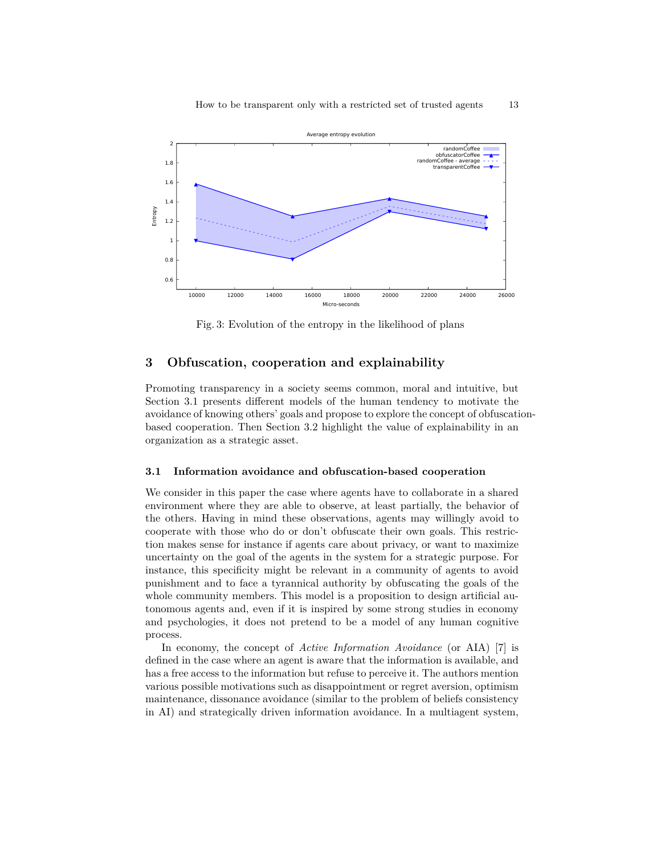<span id="page-12-1"></span>

Fig. 3: Evolution of the entropy in the likelihood of plans

# <span id="page-12-0"></span>**3 Obfuscation, cooperation and explainability**

Promoting transparency in a society seems common, moral and intuitive, but Section [3.1](#page-12-2) presents different models of the human tendency to motivate the avoidance of knowing others' goals and propose to explore the concept of obfuscationbased cooperation. Then Section [3.2](#page-13-0) highlight the value of explainability in an organization as a strategic asset.

### <span id="page-12-2"></span>**3.1 Information avoidance and obfuscation-based cooperation**

We consider in this paper the case where agents have to collaborate in a shared environment where they are able to observe, at least partially, the behavior of the others. Having in mind these observations, agents may willingly avoid to cooperate with those who do or don't obfuscate their own goals. This restriction makes sense for instance if agents care about privacy, or want to maximize uncertainty on the goal of the agents in the system for a strategic purpose. For instance, this specificity might be relevant in a community of agents to avoid punishment and to face a tyrannical authority by obfuscating the goals of the whole community members. This model is a proposition to design artificial autonomous agents and, even if it is inspired by some strong studies in economy and psychologies, it does not pretend to be a model of any human cognitive process.

In economy, the concept of *Active Information Avoidance* (or AIA) [\[7\]](#page-15-14) is defined in the case where an agent is aware that the information is available, and has a free access to the information but refuse to perceive it. The authors mention various possible motivations such as disappointment or regret aversion, optimism maintenance, dissonance avoidance (similar to the problem of beliefs consistency in AI) and strategically driven information avoidance. In a multiagent system,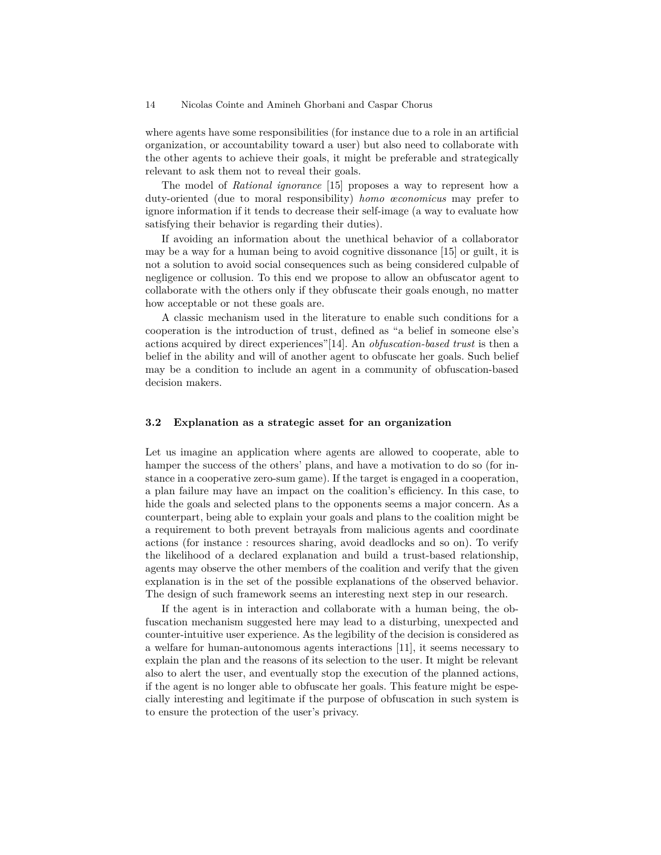where agents have some responsibilities (for instance due to a role in an artificial organization, or accountability toward a user) but also need to collaborate with the other agents to achieve their goals, it might be preferable and strategically relevant to ask them not to reveal their goals.

The model of *Rational ignorance* [\[15\]](#page-15-15) proposes a way to represent how a duty-oriented (due to moral responsibility) *homo œconomicus* may prefer to ignore information if it tends to decrease their self-image (a way to evaluate how satisfying their behavior is regarding their duties).

If avoiding an information about the unethical behavior of a collaborator may be a way for a human being to avoid cognitive dissonance [\[15\]](#page-15-15) or guilt, it is not a solution to avoid social consequences such as being considered culpable of negligence or collusion. To this end we propose to allow an obfuscator agent to collaborate with the others only if they obfuscate their goals enough, no matter how acceptable or not these goals are.

A classic mechanism used in the literature to enable such conditions for a cooperation is the introduction of trust, defined as "a belief in someone else's actions acquired by direct experiences"[\[14\]](#page-15-16). An *obfuscation-based trust* is then a belief in the ability and will of another agent to obfuscate her goals. Such belief may be a condition to include an agent in a community of obfuscation-based decision makers.

### <span id="page-13-0"></span>**3.2 Explanation as a strategic asset for an organization**

Let us imagine an application where agents are allowed to cooperate, able to hamper the success of the others' plans, and have a motivation to do so (for instance in a cooperative zero-sum game). If the target is engaged in a cooperation, a plan failure may have an impact on the coalition's efficiency. In this case, to hide the goals and selected plans to the opponents seems a major concern. As a counterpart, being able to explain your goals and plans to the coalition might be a requirement to both prevent betrayals from malicious agents and coordinate actions (for instance : resources sharing, avoid deadlocks and so on). To verify the likelihood of a declared explanation and build a trust-based relationship, agents may observe the other members of the coalition and verify that the given explanation is in the set of the possible explanations of the observed behavior. The design of such framework seems an interesting next step in our research.

If the agent is in interaction and collaborate with a human being, the obfuscation mechanism suggested here may lead to a disturbing, unexpected and counter-intuitive user experience. As the legibility of the decision is considered as a welfare for human-autonomous agents interactions [\[11\]](#page-15-17), it seems necessary to explain the plan and the reasons of its selection to the user. It might be relevant also to alert the user, and eventually stop the execution of the planned actions, if the agent is no longer able to obfuscate her goals. This feature might be especially interesting and legitimate if the purpose of obfuscation in such system is to ensure the protection of the user's privacy.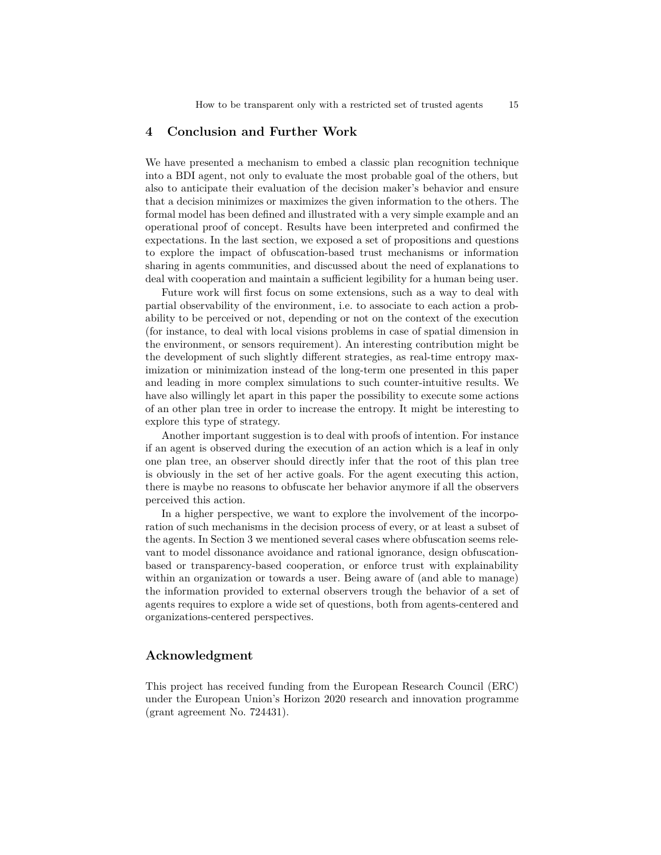### **4 Conclusion and Further Work**

We have presented a mechanism to embed a classic plan recognition technique into a BDI agent, not only to evaluate the most probable goal of the others, but also to anticipate their evaluation of the decision maker's behavior and ensure that a decision minimizes or maximizes the given information to the others. The formal model has been defined and illustrated with a very simple example and an operational proof of concept. Results have been interpreted and confirmed the expectations. In the last section, we exposed a set of propositions and questions to explore the impact of obfuscation-based trust mechanisms or information sharing in agents communities, and discussed about the need of explanations to deal with cooperation and maintain a sufficient legibility for a human being user.

Future work will first focus on some extensions, such as a way to deal with partial observability of the environment, i.e. to associate to each action a probability to be perceived or not, depending or not on the context of the execution (for instance, to deal with local visions problems in case of spatial dimension in the environment, or sensors requirement). An interesting contribution might be the development of such slightly different strategies, as real-time entropy maximization or minimization instead of the long-term one presented in this paper and leading in more complex simulations to such counter-intuitive results. We have also willingly let apart in this paper the possibility to execute some actions of an other plan tree in order to increase the entropy. It might be interesting to explore this type of strategy.

Another important suggestion is to deal with proofs of intention. For instance if an agent is observed during the execution of an action which is a leaf in only one plan tree, an observer should directly infer that the root of this plan tree is obviously in the set of her active goals. For the agent executing this action, there is maybe no reasons to obfuscate her behavior anymore if all the observers perceived this action.

In a higher perspective, we want to explore the involvement of the incorporation of such mechanisms in the decision process of every, or at least a subset of the agents. In Section [3](#page-12-0) we mentioned several cases where obfuscation seems relevant to model dissonance avoidance and rational ignorance, design obfuscationbased or transparency-based cooperation, or enforce trust with explainability within an organization or towards a user. Being aware of (and able to manage) the information provided to external observers trough the behavior of a set of agents requires to explore a wide set of questions, both from agents-centered and organizations-centered perspectives.

# **Acknowledgment**

This project has received funding from the European Research Council (ERC) under the European Union's Horizon 2020 research and innovation programme (grant agreement No. 724431).